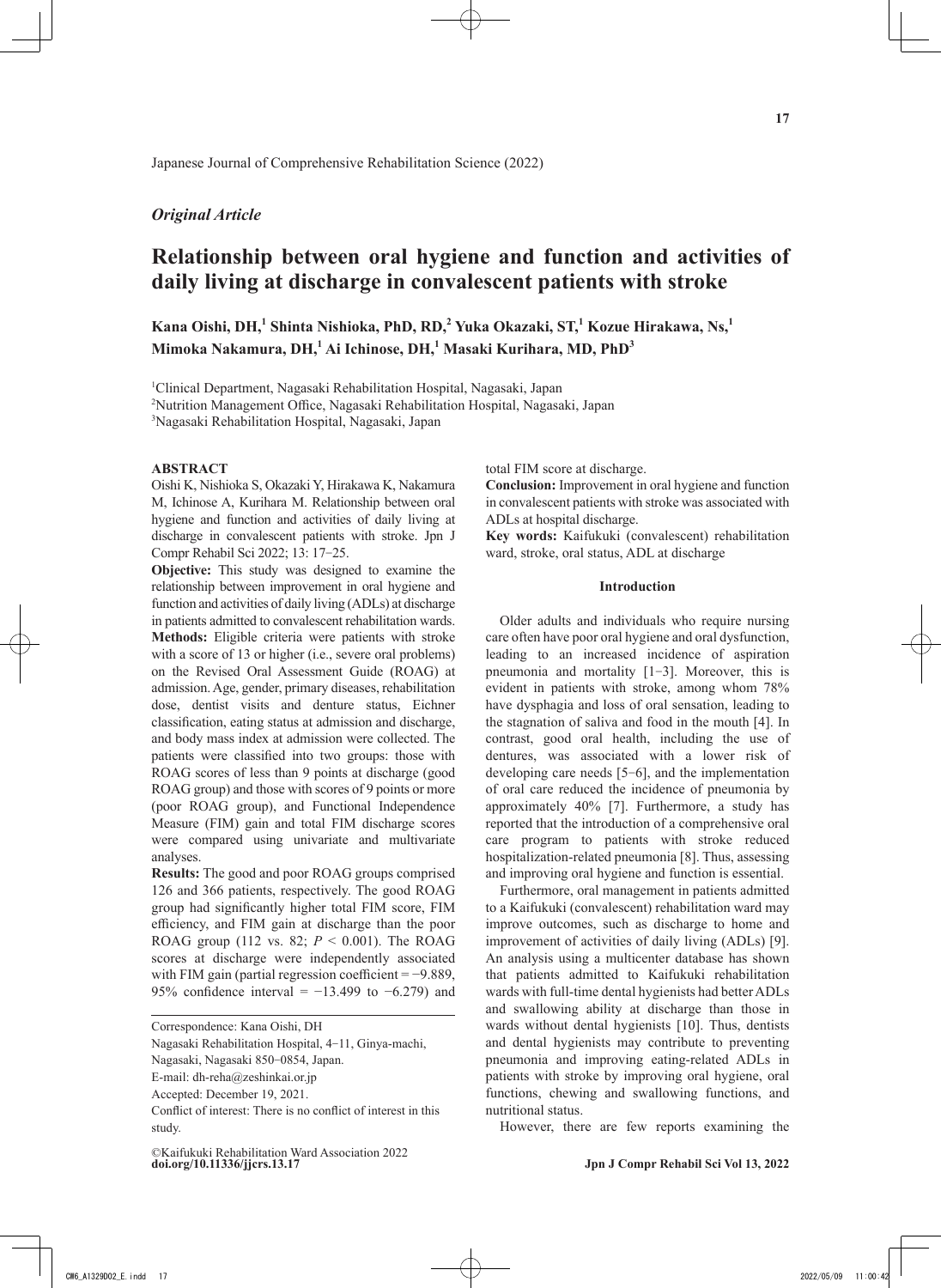# *Original Article*

# **Relationship between oral hygiene and function and activities of daily living at discharge in convalescent patients with stroke**

**Kana Oishi, DH,1 Shinta Nishioka, PhD, RD,<sup>2</sup> Yuka Okazaki, ST,<sup>1</sup> Kozue Hirakawa, Ns,1 Mimoka Nakamura, DH,<sup>1</sup> Ai Ichinose, DH,<sup>1</sup> Masaki Kurihara, MD, PhD3**

1 Clinical Department, Nagasaki Rehabilitation Hospital, Nagasaki, Japan

2 Nutrition Management Office, Nagasaki Rehabilitation Hospital, Nagasaki, Japan

3 Nagasaki Rehabilitation Hospital, Nagasaki, Japan

# **ABSTRACT**

Oishi K, Nishioka S, Okazaki Y, Hirakawa K, Nakamura M, Ichinose A, Kurihara M. Relationship between oral hygiene and function and activities of daily living at discharge in convalescent patients with stroke. Jpn J Compr Rehabil Sci 2022; 13: 17‒25.

**Objective:** This study was designed to examine the relationship between improvement in oral hygiene and function and activities of daily living (ADLs) at discharge in patients admitted to convalescent rehabilitation wards. **Methods:** Eligible criteria were patients with stroke with a score of 13 or higher (i.e., severe oral problems) on the Revised Oral Assessment Guide (ROAG) at admission. Age, gender, primary diseases, rehabilitation dose, dentist visits and denture status, Eichner classification, eating status at admission and discharge, and body mass index at admission were collected. The patients were classified into two groups: those with ROAG scores of less than 9 points at discharge (good ROAG group) and those with scores of 9 points or more (poor ROAG group), and Functional Independence Measure (FIM) gain and total FIM discharge scores were compared using univariate and multivariate analyses.

**Results:** The good and poor ROAG groups comprised 126 and 366 patients, respectively. The good ROAG group had significantly higher total FIM score, FIM efficiency, and FIM gain at discharge than the poor ROAG group (112 vs. 82;  $P < 0.001$ ). The ROAG scores at discharge were independently associated with FIM gain (partial regression coefficient  $= -9.889$ , 95% confidence interval =  $-13.499$  to  $-6.279$ ) and

Nagasaki Rehabilitation Hospital, 4-11, Ginya-machi,

E-mail: dh-reha@zeshinkai.or.jp

total FIM score at discharge.

**Conclusion:** Improvement in oral hygiene and function in convalescent patients with stroke was associated with ADLs at hospital discharge.

**Key words:** Kaifukuki (convalescent) rehabilitation ward, stroke, oral status, ADL at discharge

# **Introduction**

Older adults and individuals who require nursing care often have poor oral hygiene and oral dysfunction, leading to an increased incidence of aspiration pneumonia and mortality [1‒3]. Moreover, this is evident in patients with stroke, among whom 78% have dysphagia and loss of oral sensation, leading to the stagnation of saliva and food in the mouth [4]. In contrast, good oral health, including the use of dentures, was associated with a lower risk of developing care needs [5‒6], and the implementation of oral care reduced the incidence of pneumonia by approximately 40% [7]. Furthermore, a study has reported that the introduction of a comprehensive oral care program to patients with stroke reduced hospitalization-related pneumonia [8]. Thus, assessing and improving oral hygiene and function is essential.

Furthermore, oral management in patients admitted to a Kaifukuki (convalescent) rehabilitation ward may improve outcomes, such as discharge to home and improvement of activities of daily living (ADLs) [9]. An analysis using a multicenter database has shown that patients admitted to Kaifukuki rehabilitation wards with full-time dental hygienists had better ADLs and swallowing ability at discharge than those in wards without dental hygienists [10]. Thus, dentists and dental hygienists may contribute to preventing pneumonia and improving eating-related ADLs in patients with stroke by improving oral hygiene, oral functions, chewing and swallowing functions, and nutritional status.

However, there are few reports examining the

Correspondence: Kana Oishi, DH

Nagasaki, Nagasaki 850-0854, Japan.

Accepted: December 19, 2021.

Conflict of interest: There is no conflict of interest in this study.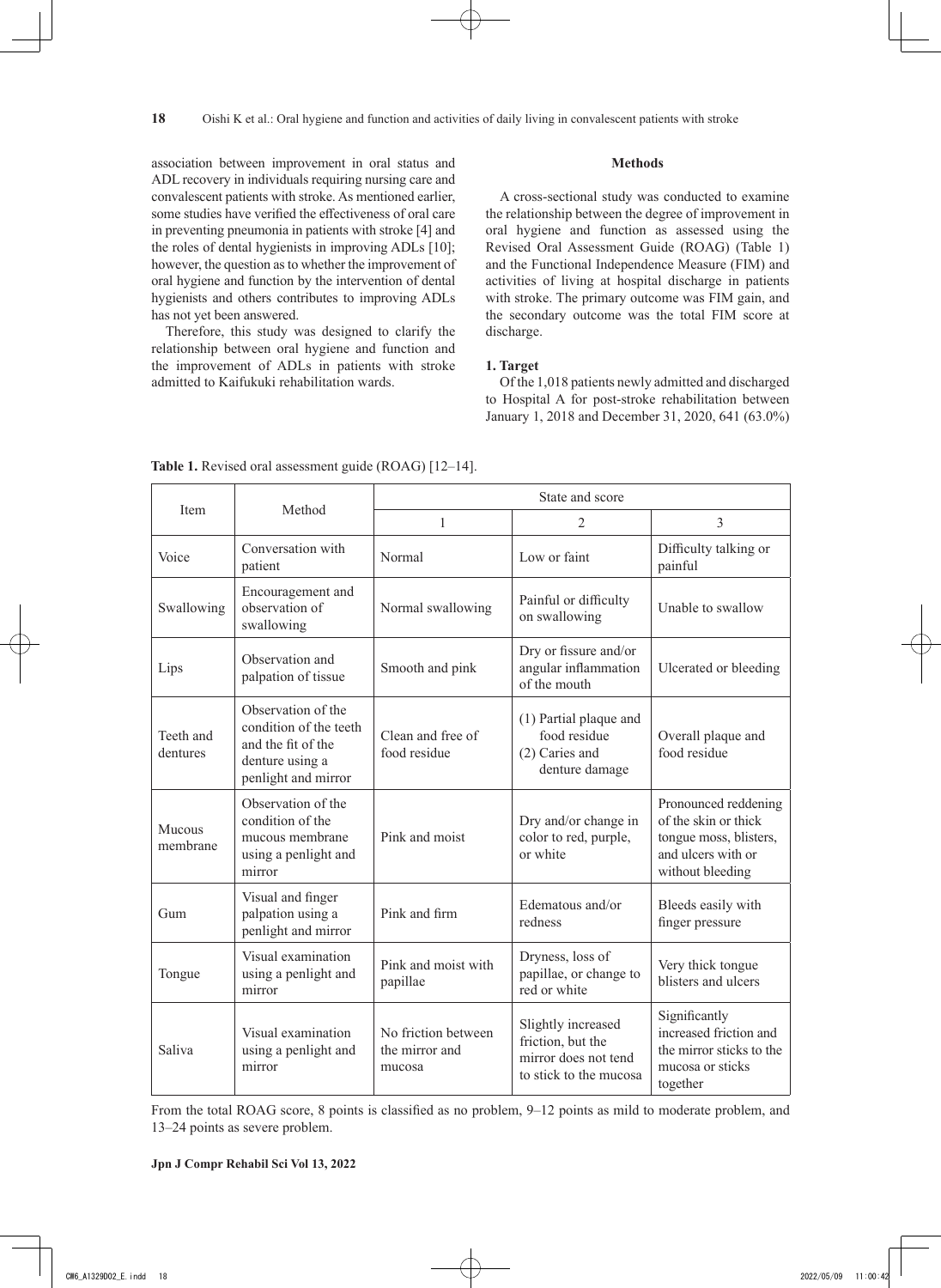association between improvement in oral status and ADL recovery in individuals requiring nursing care and convalescent patients with stroke. As mentioned earlier, some studies have verified the effectiveness of oral care in preventing pneumonia in patients with stroke [4] and the roles of dental hygienists in improving ADLs [10]; however, the question as to whether the improvement of oral hygiene and function by the intervention of dental hygienists and others contributes to improving ADLs has not yet been answered.

Therefore, this study was designed to clarify the relationship between oral hygiene and function and the improvement of ADLs in patients with stroke admitted to Kaifukuki rehabilitation wards.

#### **Methods**

A cross-sectional study was conducted to examine the relationship between the degree of improvement in oral hygiene and function as assessed using the Revised Oral Assessment Guide (ROAG) (Table 1) and the Functional Independence Measure (FIM) and activities of living at hospital discharge in patients with stroke. The primary outcome was FIM gain, and the secondary outcome was the total FIM score at discharge.

# **1. Target**

Of the 1,018 patients newly admitted and discharged to Hospital A for post-stroke rehabilitation between January 1, 2018 and December 31, 2020, 641 (63.0%)

|                       |                                                                                                              | State and score                                 |                                                                                           |                                                                                                                  |  |
|-----------------------|--------------------------------------------------------------------------------------------------------------|-------------------------------------------------|-------------------------------------------------------------------------------------------|------------------------------------------------------------------------------------------------------------------|--|
| Item                  | Method                                                                                                       | $\mathbf{1}$                                    | $\overline{2}$                                                                            | 3                                                                                                                |  |
| Voice                 | Conversation with<br>patient                                                                                 | Normal                                          | Low or faint                                                                              | Difficulty talking or<br>painful                                                                                 |  |
| Swallowing            | Encouragement and<br>observation of<br>swallowing                                                            | Normal swallowing                               | Painful or difficulty<br>on swallowing                                                    | Unable to swallow                                                                                                |  |
| Lips                  | Observation and<br>palpation of tissue                                                                       | Smooth and pink                                 | Dry or fissure and/or<br>angular inflammation<br>of the mouth                             | Ulcerated or bleeding                                                                                            |  |
| Teeth and<br>dentures | Observation of the<br>condition of the teeth<br>and the fit of the<br>denture using a<br>penlight and mirror | Clean and free of<br>food residue               | (1) Partial plaque and<br>food residue<br>(2) Caries and<br>denture damage                | Overall plaque and<br>food residue                                                                               |  |
| Mucous<br>membrane    | Observation of the<br>condition of the<br>mucous membrane<br>using a penlight and<br>mirror                  | Pink and moist                                  | Dry and/or change in<br>color to red, purple,<br>or white                                 | Pronounced reddening<br>of the skin or thick<br>tongue moss, blisters,<br>and ulcers with or<br>without bleeding |  |
| Gum                   | Visual and finger<br>palpation using a<br>penlight and mirror                                                | Pink and firm                                   | Edematous and/or<br>redness                                                               | Bleeds easily with<br>finger pressure                                                                            |  |
| Tongue                | Visual examination<br>using a penlight and<br>mirror                                                         | Pink and moist with<br>papillae                 | Dryness, loss of<br>papillae, or change to<br>red or white                                | Very thick tongue<br>blisters and ulcers                                                                         |  |
| Saliva                | Visual examination<br>using a penlight and<br>mirror                                                         | No friction between<br>the mirror and<br>mucosa | Slightly increased<br>friction, but the<br>mirror does not tend<br>to stick to the mucosa | Significantly<br>increased friction and<br>the mirror sticks to the<br>mucosa or sticks<br>together              |  |

Table 1. Revised oral assessment guide (ROAG) [12-14].

From the total ROAG score, 8 points is classified as no problem, 9–12 points as mild to moderate problem, and 13–24 points as severe problem.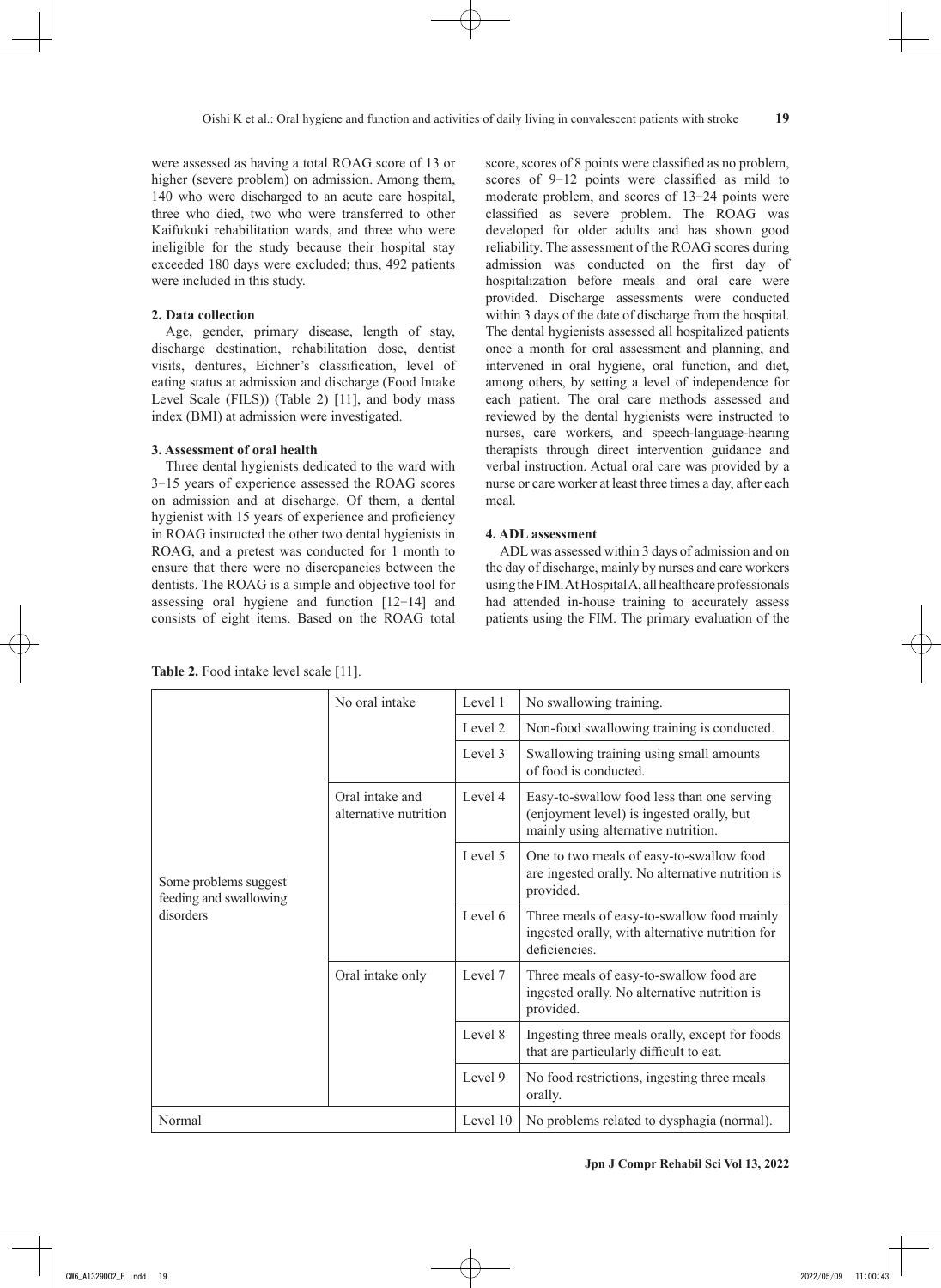were assessed as having a total ROAG score of 13 or higher (severe problem) on admission. Among them, 140 who were discharged to an acute care hospital, three who died, two who were transferred to other Kaifukuki rehabilitation wards, and three who were ineligible for the study because their hospital stay exceeded 180 days were excluded; thus, 492 patients were included in this study.

#### **2. Data collection**

Age, gender, primary disease, length of stay, discharge destination, rehabilitation dose, dentist visits, dentures, Eichner's classification, level of eating status at admission and discharge (Food Intake Level Scale (FILS)) (Table 2) [11], and body mass index (BMI) at admission were investigated.

## **3. Assessment of oral health**

Three dental hygienists dedicated to the ward with 3‒15 years of experience assessed the ROAG scores on admission and at discharge. Of them, a dental hygienist with 15 years of experience and proficiency in ROAG instructed the other two dental hygienists in ROAG, and a pretest was conducted for 1 month to ensure that there were no discrepancies between the dentists. The ROAG is a simple and objective tool for assessing oral hygiene and function [12‒14] and consists of eight items. Based on the ROAG total score, scores of 8 points were classified as no problem, scores of 9-12 points were classified as mild to moderate problem, and scores of 13-24 points were classified as severe problem. The ROAG was developed for older adults and has shown good reliability. The assessment of the ROAG scores during admission was conducted on the first day of hospitalization before meals and oral care were provided. Discharge assessments were conducted within 3 days of the date of discharge from the hospital. The dental hygienists assessed all hospitalized patients once a month for oral assessment and planning, and intervened in oral hygiene, oral function, and diet, among others, by setting a level of independence for each patient. The oral care methods assessed and reviewed by the dental hygienists were instructed to nurses, care workers, and speech-language-hearing therapists through direct intervention guidance and verbal instruction. Actual oral care was provided by a nurse or care worker at least three times a day, after each meal.

# **4. ADL assessment**

ADL was assessed within 3 days of admission and on the day of discharge, mainly by nurses and care workers using the FIM. At Hospital A, all healthcare professionals had attended in-house training to accurately assess patients using the FIM. The primary evaluation of the

**Table 2.** Food intake level scale [11].

| Some problems suggest<br>feeding and swallowing<br>disorders | No oral intake                           | Level 1  | No swallowing training.                                                                                                        |  |
|--------------------------------------------------------------|------------------------------------------|----------|--------------------------------------------------------------------------------------------------------------------------------|--|
|                                                              |                                          | Level 2  | Non-food swallowing training is conducted.                                                                                     |  |
|                                                              |                                          | Level 3  | Swallowing training using small amounts<br>of food is conducted.                                                               |  |
|                                                              | Oral intake and<br>alternative nutrition | Level 4  | Easy-to-swallow food less than one serving<br>(enjoyment level) is ingested orally, but<br>mainly using alternative nutrition. |  |
|                                                              |                                          | Level 5  | One to two meals of easy-to-swallow food<br>are ingested orally. No alternative nutrition is<br>provided.                      |  |
|                                                              |                                          | Level 6  | Three meals of easy-to-swallow food mainly<br>ingested orally, with alternative nutrition for<br>deficiencies.                 |  |
|                                                              | Oral intake only                         | Level 7  | Three meals of easy-to-swallow food are<br>ingested orally. No alternative nutrition is<br>provided.                           |  |
|                                                              |                                          | Level 8  | Ingesting three meals orally, except for foods<br>that are particularly difficult to eat.                                      |  |
|                                                              |                                          | Level 9  | No food restrictions, ingesting three meals<br>orally.                                                                         |  |
| Normal                                                       |                                          | Level 10 | No problems related to dysphagia (normal).                                                                                     |  |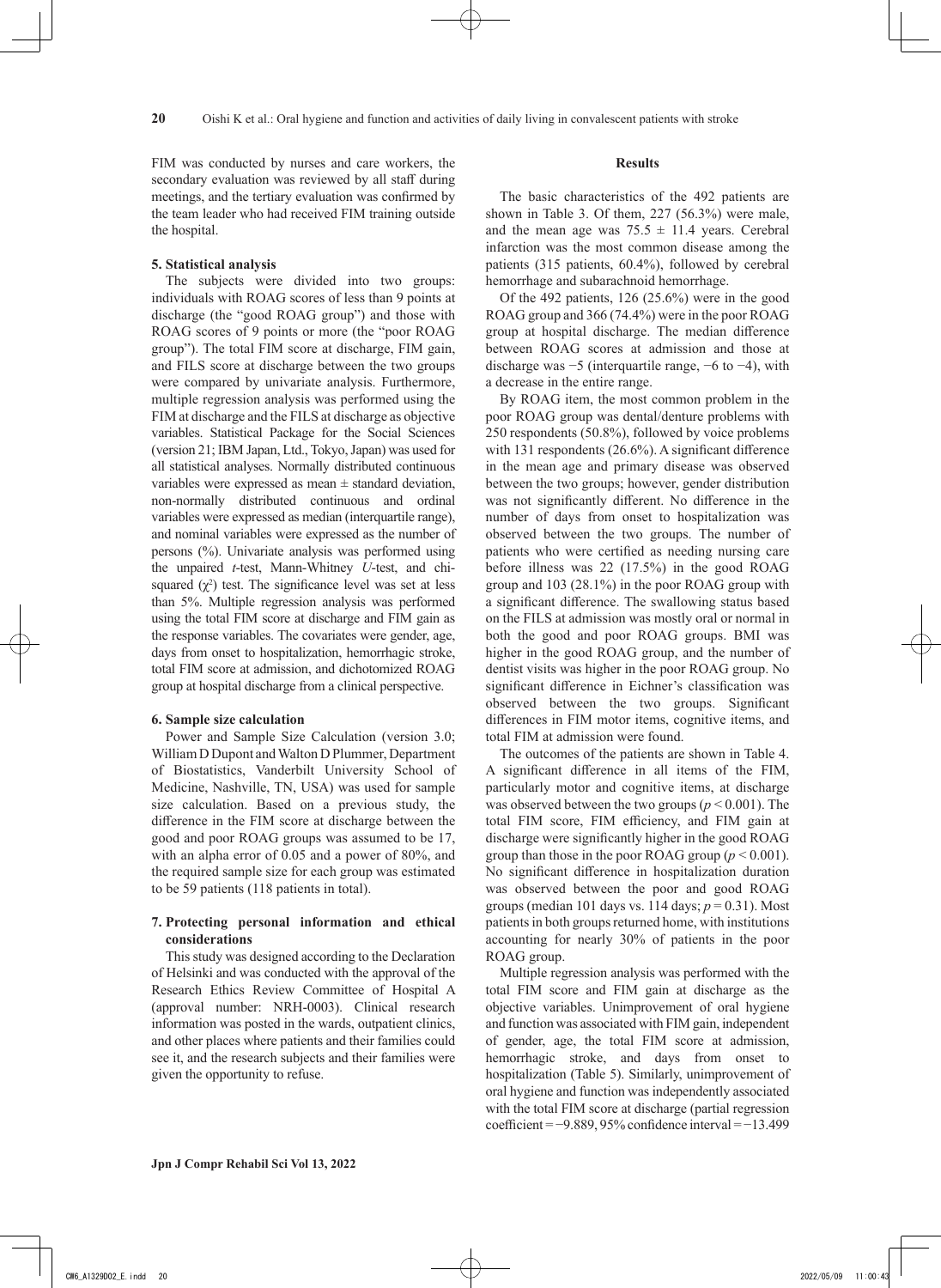FIM was conducted by nurses and care workers, the secondary evaluation was reviewed by all staff during meetings, and the tertiary evaluation was confirmed by the team leader who had received FIM training outside the hospital.

# **5. Statistical analysis**

The subjects were divided into two groups: individuals with ROAG scores of less than 9 points at discharge (the "good ROAG group") and those with ROAG scores of 9 points or more (the "poor ROAG group"). The total FIM score at discharge, FIM gain, and FILS score at discharge between the two groups were compared by univariate analysis. Furthermore, multiple regression analysis was performed using the FIM at discharge and the FILS at discharge as objective variables. Statistical Package for the Social Sciences (version 21; IBM Japan, Ltd., Tokyo, Japan) was used for all statistical analyses. Normally distributed continuous variables were expressed as mean  $\pm$  standard deviation, non-normally distributed continuous and ordinal variables were expressed as median (interquartile range), and nominal variables were expressed as the number of persons (%). Univariate analysis was performed using the unpaired *t*-test, Mann-Whitney *U*-test, and chisquared  $(\chi^2)$  test. The significance level was set at less than 5%. Multiple regression analysis was performed using the total FIM score at discharge and FIM gain as the response variables. The covariates were gender, age, days from onset to hospitalization, hemorrhagic stroke, total FIM score at admission, and dichotomized ROAG group at hospital discharge from a clinical perspective.

# **6. Sample size calculation**

Power and Sample Size Calculation (version 3.0; William D Dupont and Walton D Plummer, Department of Biostatistics, Vanderbilt University School of Medicine, Nashville, TN, USA) was used for sample size calculation. Based on a previous study, the difference in the FIM score at discharge between the good and poor ROAG groups was assumed to be 17, with an alpha error of 0.05 and a power of 80%, and the required sample size for each group was estimated to be 59 patients (118 patients in total).

# **7. Protecting personal information and ethical considerations**

This study was designed according to the Declaration of Helsinki and was conducted with the approval of the Research Ethics Review Committee of Hospital A (approval number: NRH-0003). Clinical research information was posted in the wards, outpatient clinics, and other places where patients and their families could see it, and the research subjects and their families were given the opportunity to refuse.

## **Results**

The basic characteristics of the 492 patients are shown in Table 3. Of them, 227 (56.3%) were male, and the mean age was  $75.5 \pm 11.4$  years. Cerebral infarction was the most common disease among the patients (315 patients, 60.4%), followed by cerebral hemorrhage and subarachnoid hemorrhage.

Of the 492 patients, 126 (25.6%) were in the good ROAG group and 366 (74.4%) were in the poor ROAG group at hospital discharge. The median difference between ROAG scores at admission and those at discharge was −5 (interquartile range, −6 to −4), with a decrease in the entire range.

By ROAG item, the most common problem in the poor ROAG group was dental/denture problems with 250 respondents (50.8%), followed by voice problems with 131 respondents (26.6%). A significant difference in the mean age and primary disease was observed between the two groups; however, gender distribution was not significantly different. No difference in the number of days from onset to hospitalization was observed between the two groups. The number of patients who were certified as needing nursing care before illness was 22 (17.5%) in the good ROAG group and 103 (28.1%) in the poor ROAG group with a significant difference. The swallowing status based on the FILS at admission was mostly oral or normal in both the good and poor ROAG groups. BMI was higher in the good ROAG group, and the number of dentist visits was higher in the poor ROAG group. No significant difference in Eichner's classification was observed between the two groups. Significant differences in FIM motor items, cognitive items, and total FIM at admission were found.

The outcomes of the patients are shown in Table 4. A significant difference in all items of the FIM, particularly motor and cognitive items, at discharge was observed between the two groups ( $p < 0.001$ ). The total FIM score, FIM efficiency, and FIM gain at discharge were significantly higher in the good ROAG group than those in the poor ROAG group  $(p < 0.001)$ . No significant difference in hospitalization duration was observed between the poor and good ROAG groups (median 101 days vs. 114 days; *p* = 0.31). Most patients in both groups returned home, with institutions accounting for nearly 30% of patients in the poor ROAG group.

Multiple regression analysis was performed with the total FIM score and FIM gain at discharge as the objective variables. Unimprovement of oral hygiene and function was associated with FIM gain, independent of gender, age, the total FIM score at admission, hemorrhagic stroke, and days from onset to hospitalization (Table 5). Similarly, unimprovement of oral hygiene and function was independently associated with the total FIM score at discharge (partial regression coefficient = −9.889, 95% confidence interval = −13.499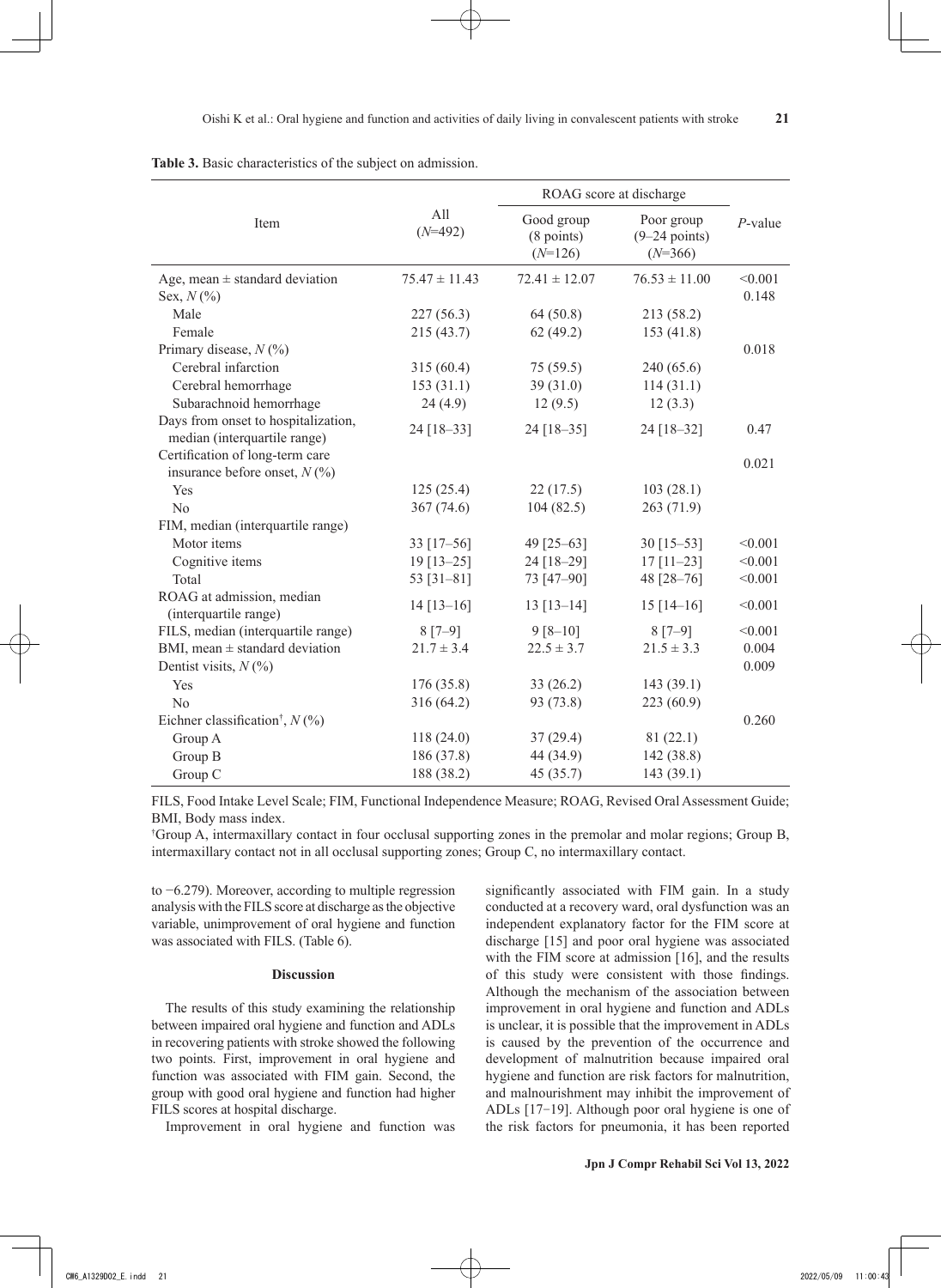**21**

|                                                                     |                   | ROAG score at discharge                         |                                            |            |
|---------------------------------------------------------------------|-------------------|-------------------------------------------------|--------------------------------------------|------------|
| Item                                                                | All<br>$(N=492)$  | Good group<br>$(8 \text{ points})$<br>$(N=126)$ | Poor group<br>$(9-24$ points)<br>$(N=366)$ | $P$ -value |
| Age, mean $\pm$ standard deviation                                  | $75.47 \pm 11.43$ | $72.41 \pm 12.07$                               | $76.53 \pm 11.00$                          | < 0.001    |
| Sex, $N(\%)$                                                        |                   |                                                 |                                            | 0.148      |
| Male                                                                | 227(56.3)         | 64(50.8)                                        | 213 (58.2)                                 |            |
| Female                                                              | 215 (43.7)        | 62(49.2)                                        | 153(41.8)                                  |            |
| Primary disease, $N$ (%)                                            |                   |                                                 |                                            | 0.018      |
| Cerebral infarction                                                 | 315(60.4)         | 75(59.5)                                        | 240 (65.6)                                 |            |
| Cerebral hemorrhage                                                 | 153(31.1)         | 39(31.0)                                        | 114(31.1)                                  |            |
| Subarachnoid hemorrhage                                             | 24(4.9)           | 12(9.5)                                         | 12(3.3)                                    |            |
| Days from onset to hospitalization,<br>median (interquartile range) | 24 [18-33]        | 24 [18-35]                                      | 24 [18-32]                                 | 0.47       |
| Certification of long-term care<br>insurance before onset, $N$ (%)  |                   |                                                 |                                            | 0.021      |
| Yes                                                                 | 125(25.4)         | 22(17.5)                                        | 103(28.1)                                  |            |
| N <sub>o</sub>                                                      | 367 (74.6)        | 104(82.5)                                       | 263 (71.9)                                 |            |
| FIM, median (interquartile range)                                   |                   |                                                 |                                            |            |
| Motor items                                                         | 33 $[17-56]$      | 49 [25-63]                                      | $30$ [15-53]                               | < 0.001    |
| Cognitive items                                                     | $19$ [13-25]      | 24 [18-29]                                      | $17$ [11-23]                               | < 0.001    |
| Total                                                               | 53 $[31-81]$      | 73 [47-90]                                      | 48 [28-76]                                 | < 0.001    |
| ROAG at admission, median<br>(interquartile range)                  | $14$ [13-16]      | $13 [13 - 14]$                                  | $15$ [14-16]                               | < 0.001    |
| FILS, median (interquartile range)                                  | $8 [7 - 9]$       | $9 [8 - 10]$                                    | $8 [7 - 9]$                                | < 0.001    |
| BMI, mean $\pm$ standard deviation                                  | $21.7 \pm 3.4$    | $22.5 \pm 3.7$                                  | $21.5 \pm 3.3$                             | 0.004      |
| Dentist visits, $N(\%)$                                             |                   |                                                 |                                            | 0.009      |
| Yes                                                                 | 176 (35.8)        | 33(26.2)                                        | 143 (39.1)                                 |            |
| N <sub>o</sub>                                                      | 316 (64.2)        | 93 (73.8)                                       | 223 (60.9)                                 |            |
| Eichner classification <sup>†</sup> , $N$ (%)                       |                   |                                                 |                                            | 0.260      |
| Group A                                                             | 118(24.0)         | 37(29.4)                                        | 81(22.1)                                   |            |
| Group B                                                             | 186 (37.8)        | 44 (34.9)                                       | 142 (38.8)                                 |            |
| Group C                                                             | 188 (38.2)        | 45 (35.7)                                       | 143 (39.1)                                 |            |

**Table 3.** Basic characteristics of the subject on admission.

FILS, Food Intake Level Scale; FIM, Functional Independence Measure; ROAG, Revised Oral Assessment Guide; BMI, Body mass index.

† Group A, intermaxillary contact in four occlusal supporting zones in the premolar and molar regions; Group B, intermaxillary contact not in all occlusal supporting zones; Group C, no intermaxillary contact.

to −6.279). Moreover, according to multiple regression analysis with the FILS score at discharge as the objective variable, unimprovement of oral hygiene and function was associated with FILS. (Table 6).

#### **Discussion**

The results of this study examining the relationship between impaired oral hygiene and function and ADLs in recovering patients with stroke showed the following two points. First, improvement in oral hygiene and function was associated with FIM gain. Second, the group with good oral hygiene and function had higher FILS scores at hospital discharge.

Improvement in oral hygiene and function was

significantly associated with FIM gain. In a study conducted at a recovery ward, oral dysfunction was an independent explanatory factor for the FIM score at discharge [15] and poor oral hygiene was associated with the FIM score at admission [16], and the results of this study were consistent with those findings. Although the mechanism of the association between improvement in oral hygiene and function and ADLs is unclear, it is possible that the improvement in ADLs is caused by the prevention of the occurrence and development of malnutrition because impaired oral hygiene and function are risk factors for malnutrition, and malnourishment may inhibit the improvement of ADLs [17-19]. Although poor oral hygiene is one of the risk factors for pneumonia, it has been reported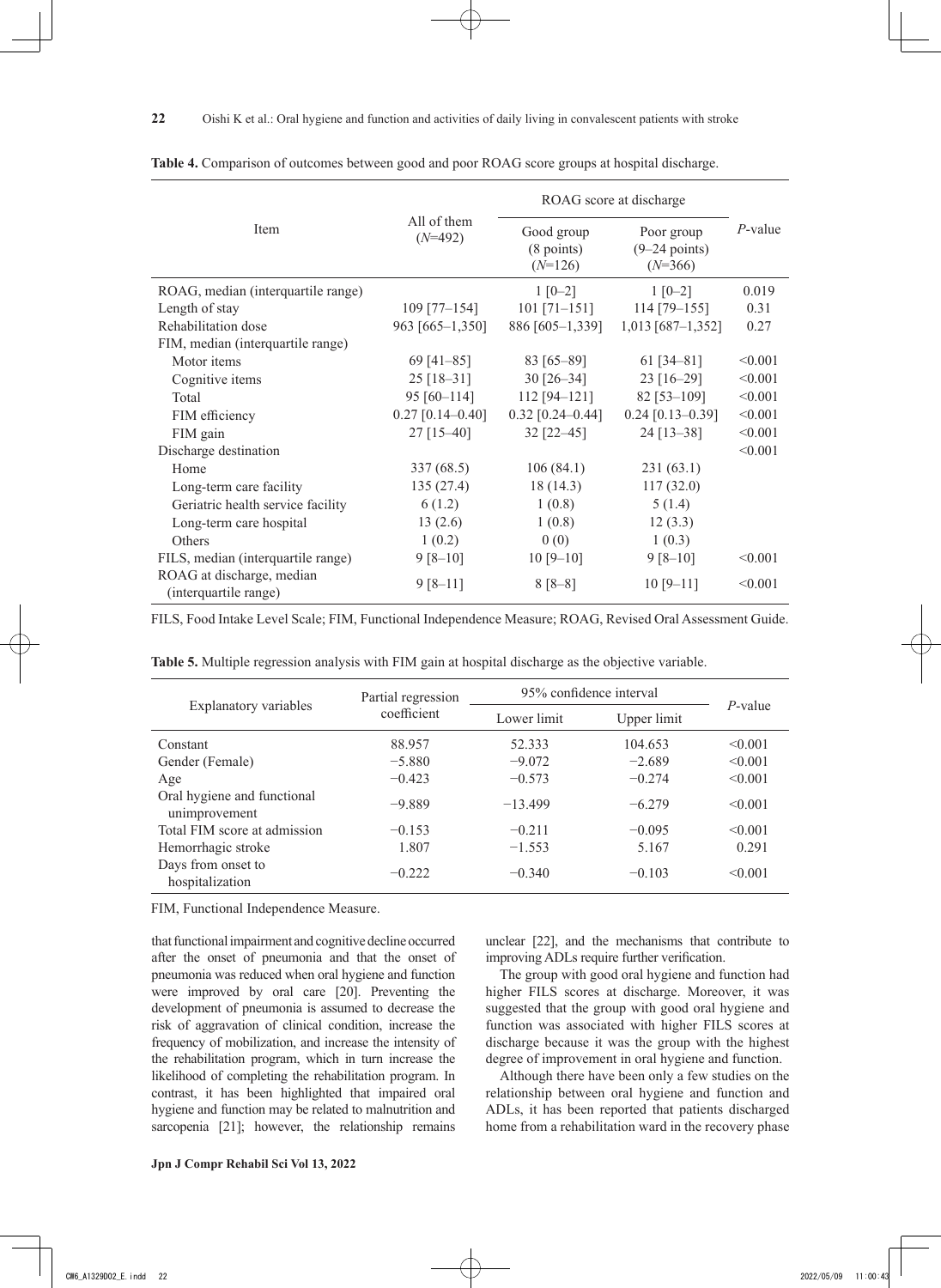|                                                    |                          | ROAG score at discharge                         |                                            |            |
|----------------------------------------------------|--------------------------|-------------------------------------------------|--------------------------------------------|------------|
| Item                                               | All of them<br>$(N=492)$ | Good group<br>$(8 \text{ points})$<br>$(N=126)$ | Poor group<br>$(9-24$ points)<br>$(N=366)$ | $P$ -value |
| ROAG, median (interquartile range)                 |                          | $1 [0-2]$                                       | $1 [0-2]$                                  | 0.019      |
| Length of stay                                     | $109$ [77-154]           | $101$ [71-151]                                  | $114$ [79-155]                             | 0.31       |
| Rehabilitation dose                                | 963 [665-1,350]          | 886 [605-1,339]                                 | $1,013$ [687-1,352]                        | 0.27       |
| FIM, median (interquartile range)                  |                          |                                                 |                                            |            |
| Motor items                                        | 69 $[41-85]$             | 83 [65-89]                                      | 61 $[34 - 81]$                             | < 0.001    |
| Cognitive items                                    | $25$ [18-31]             | $30$ [26-34]                                    | $23$ [16-29]                               | < 0.001    |
| Total                                              | $95 [60 - 114]$          | $112 [94 - 121]$                                | 82 [53-109]                                | < 0.001    |
| FIM efficiency                                     | $0.27$ [0.14-0.40]       | $0.32$ [0.24-0.44]                              | $0.24$ [0.13-0.39]                         | < 0.001    |
| FIM gain                                           | $27$ [15-40]             | 32 [22-45]                                      | 24 [13-38]                                 | < 0.001    |
| Discharge destination                              |                          |                                                 |                                            | < 0.001    |
| Home                                               | 337(68.5)                | 106(84.1)                                       | 231(63.1)                                  |            |
| Long-term care facility                            | 135(27.4)                | 18(14.3)                                        | 117(32.0)                                  |            |
| Geriatric health service facility                  | 6(1.2)                   | 1(0.8)                                          | 5(1.4)                                     |            |
| Long-term care hospital                            | 13(2.6)                  | 1(0.8)                                          | 12(3.3)                                    |            |
| Others                                             | 1(0.2)                   | 0(0)                                            | 1(0.3)                                     |            |
| FILS, median (interquartile range)                 | $9 [8 - 10]$             | $10 [9 - 10]$                                   | $9 [8 - 10]$                               | < 0.001    |
| ROAG at discharge, median<br>(interquartile range) | $9 [8 - 11]$             | $8 [8 - 8]$                                     | $10 [9 - 11]$                              | < 0.001    |

**Table 4.** Comparison of outcomes between good and poor ROAG score groups at hospital discharge.

FILS, Food Intake Level Scale; FIM, Functional Independence Measure; ROAG, Revised Oral Assessment Guide.

|                                              | Partial regression<br>coefficient | 95% confidence interval |             |            |
|----------------------------------------------|-----------------------------------|-------------------------|-------------|------------|
| Explanatory variables                        |                                   | Lower limit             | Upper limit | $P$ -value |
| Constant                                     | 88.957                            | 52.333                  | 104.653     | < 0.001    |
| Gender (Female)                              | $-5.880$                          | $-9.072$                | $-2.689$    | < 0.001    |
| Age                                          | $-0.423$                          | $-0.573$                | $-0.274$    | < 0.001    |
| Oral hygiene and functional<br>unimprovement | $-9.889$                          | $-13.499$               | $-6.279$    | < 0.001    |
| Total FIM score at admission                 | $-0.153$                          | $-0.211$                | $-0.095$    | < 0.001    |
| Hemorrhagic stroke                           | 1.807                             | $-1.553$                | 5.167       | 0.291      |
| Days from onset to<br>hospitalization        | $-0.222$                          | $-0.340$                | $-0.103$    | < 0.001    |

**Table 5.** Multiple regression analysis with FIM gain at hospital discharge as the objective variable.

FIM, Functional Independence Measure.

that functional impairment and cognitive decline occurred after the onset of pneumonia and that the onset of pneumonia was reduced when oral hygiene and function were improved by oral care [20]. Preventing the development of pneumonia is assumed to decrease the risk of aggravation of clinical condition, increase the frequency of mobilization, and increase the intensity of the rehabilitation program, which in turn increase the likelihood of completing the rehabilitation program. In contrast, it has been highlighted that impaired oral hygiene and function may be related to malnutrition and sarcopenia [21]; however, the relationship remains

**Jpn J Compr Rehabil Sci Vol 13, 2022**

unclear [22], and the mechanisms that contribute to improving ADLs require further verification.

The group with good oral hygiene and function had higher FILS scores at discharge. Moreover, it was suggested that the group with good oral hygiene and function was associated with higher FILS scores at discharge because it was the group with the highest degree of improvement in oral hygiene and function.

Although there have been only a few studies on the relationship between oral hygiene and function and ADLs, it has been reported that patients discharged home from a rehabilitation ward in the recovery phase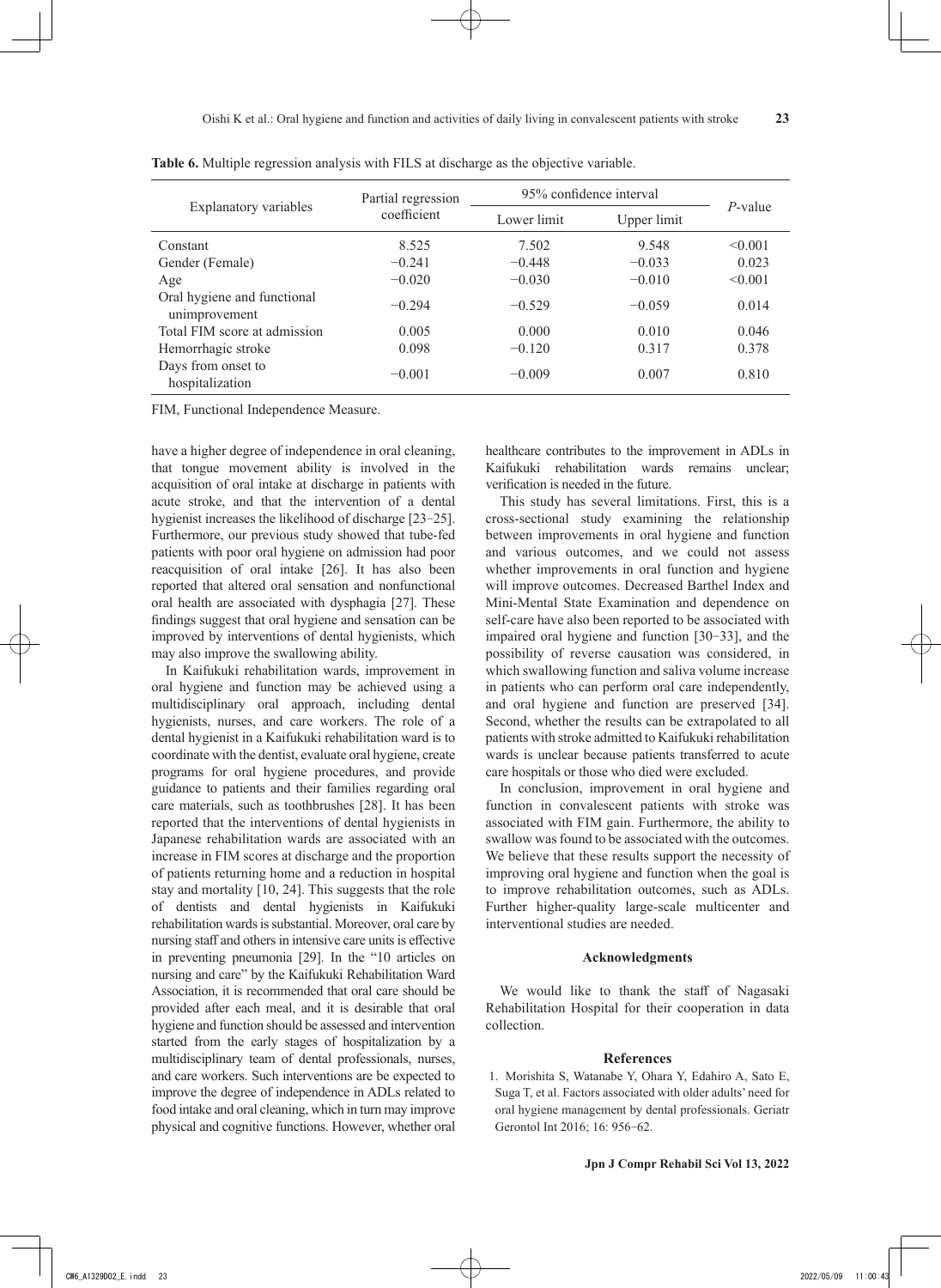|                                              | Partial regression<br>coefficient | 95% confidence interval |             |            |
|----------------------------------------------|-----------------------------------|-------------------------|-------------|------------|
| Explanatory variables                        |                                   | Lower limit             | Upper limit | $P$ -value |
| Constant                                     | 8.525                             | 7.502                   | 9.548       | < 0.001    |
| Gender (Female)                              | $-0.241$                          | $-0.448$                | $-0.033$    | 0.023      |
| Age                                          | $-0.020$                          | $-0.030$                | $-0.010$    | < 0.001    |
| Oral hygiene and functional<br>unimprovement | $-0.294$                          | $-0.529$                | $-0.059$    | 0.014      |
| Total FIM score at admission                 | 0.005                             | 0.000                   | 0.010       | 0.046      |
| Hemorrhagic stroke                           | 0.098                             | $-0.120$                | 0.317       | 0.378      |
| Days from onset to<br>hospitalization        | $-0.001$                          | $-0.009$                | 0.007       | 0.810      |

**Table 6.** Multiple regression analysis with FILS at discharge as the objective variable.

FIM, Functional Independence Measure.

have a higher degree of independence in oral cleaning, that tongue movement ability is involved in the acquisition of oral intake at discharge in patients with acute stroke, and that the intervention of a dental hygienist increases the likelihood of discharge [23–25]. Furthermore, our previous study showed that tube-fed patients with poor oral hygiene on admission had poor reacquisition of oral intake [26]. It has also been reported that altered oral sensation and nonfunctional oral health are associated with dysphagia [27]. These findings suggest that oral hygiene and sensation can be improved by interventions of dental hygienists, which may also improve the swallowing ability.

In Kaifukuki rehabilitation wards, improvement in oral hygiene and function may be achieved using a multidisciplinary oral approach, including dental hygienists, nurses, and care workers. The role of a dental hygienist in a Kaifukuki rehabilitation ward is to coordinate with the dentist, evaluate oral hygiene, create programs for oral hygiene procedures, and provide guidance to patients and their families regarding oral care materials, such as toothbrushes [28]. It has been reported that the interventions of dental hygienists in Japanese rehabilitation wards are associated with an increase in FIM scores at discharge and the proportion of patients returning home and a reduction in hospital stay and mortality [10, 24]. This suggests that the role of dentists and dental hygienists in Kaifukuki rehabilitation wards is substantial. Moreover, oral care by nursing staff and others in intensive care units is effective in preventing pneumonia [29]. In the "10 articles on nursing and care" by the Kaifukuki Rehabilitation Ward Association, it is recommended that oral care should be provided after each meal, and it is desirable that oral hygiene and function should be assessed and intervention started from the early stages of hospitalization by a multidisciplinary team of dental professionals, nurses, and care workers. Such interventions are be expected to improve the degree of independence in ADLs related to food intake and oral cleaning, which in turn may improve physical and cognitive functions. However, whether oral

healthcare contributes to the improvement in ADLs in Kaifukuki rehabilitation wards remains unclear; verification is needed in the future.

This study has several limitations. First, this is a cross-sectional study examining the relationship between improvements in oral hygiene and function and various outcomes, and we could not assess whether improvements in oral function and hygiene will improve outcomes. Decreased Barthel Index and Mini-Mental State Examination and dependence on self-care have also been reported to be associated with impaired oral hygiene and function [30‒33], and the possibility of reverse causation was considered, in which swallowing function and saliva volume increase in patients who can perform oral care independently, and oral hygiene and function are preserved [34]. Second, whether the results can be extrapolated to all patients with stroke admitted to Kaifukuki rehabilitation wards is unclear because patients transferred to acute care hospitals or those who died were excluded.

In conclusion, improvement in oral hygiene and function in convalescent patients with stroke was associated with FIM gain. Furthermore, the ability to swallow was found to be associated with the outcomes. We believe that these results support the necessity of improving oral hygiene and function when the goal is to improve rehabilitation outcomes, such as ADLs. Further higher-quality large-scale multicenter and interventional studies are needed.

## **Acknowledgments**

We would like to thank the staff of Nagasaki Rehabilitation Hospital for their cooperation in data collection.

# **References**

 1. Morishita S, Watanabe Y, Ohara Y, Edahiro A, Sato E, Suga T, et al. Factors associated with older adults' need for oral hygiene management by dental professionals. Geriatr Gerontol Int 2016; 16: 956‐62.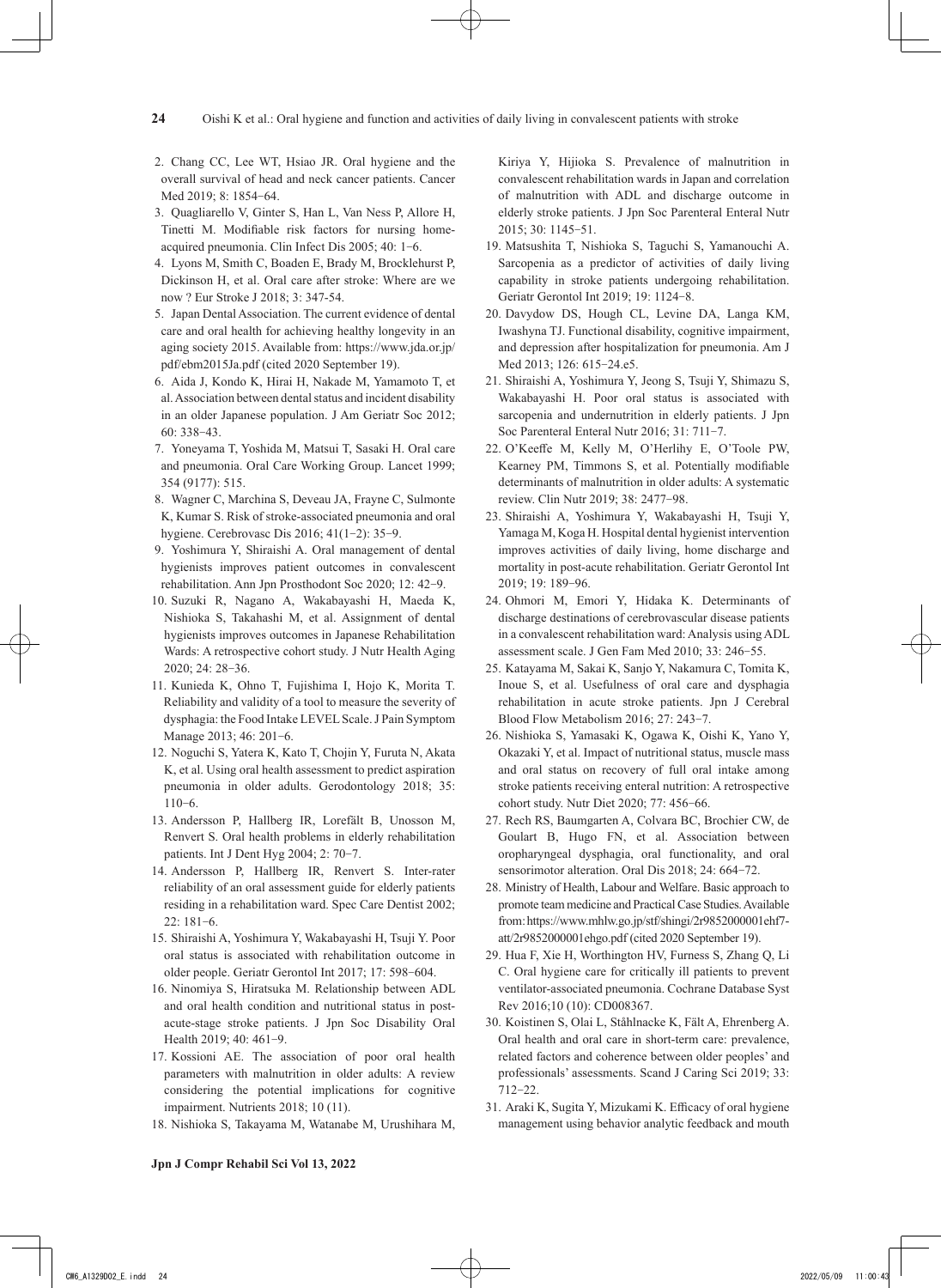- 2. Chang CC, Lee WT, Hsiao JR. Oral hygiene and the overall survival of head and neck cancer patients. Cancer Med 2019; 8: 1854‐64.
- 3. Quagliarello V, Ginter S, Han L, Van Ness P, Allore H, Tinetti M. Modifiable risk factors for nursing homeacquired pneumonia. Clin Infect Dis 2005; 40: 1‐6.
- 4. Lyons M, Smith C, Boaden E, Brady M, Brocklehurst P, Dickinson H, et al. Oral care after stroke: Where are we now ? Eur Stroke J 2018; 3: 347-54.
- 5. Japan Dental Association. The current evidence of dental care and oral health for achieving healthy longevity in an aging society 2015. Available from: https://www.jda.or.jp/ pdf/ebm2015Ja.pdf (cited 2020 September 19).
- 6. Aida J, Kondo K, Hirai H, Nakade M, Yamamoto T, et al. Association between dental status and incident disability in an older Japanese population. J Am Geriatr Soc 2012; 60: 338‐43.
- 7. Yoneyama T, Yoshida M, Matsui T, Sasaki H. Oral care and pneumonia. Oral Care Working Group. Lancet 1999; 354 (9177): 515.
- 8. Wagner C, Marchina S, Deveau JA, Frayne C, Sulmonte K, Kumar S. Risk of stroke-associated pneumonia and oral hygiene. Cerebrovasc Dis 2016; 41(1‐2): 35‐9.
- 9. Yoshimura Y, Shiraishi A. Oral management of dental hygienists improves patient outcomes in convalescent rehabilitation. Ann Jpn Prosthodont Soc 2020; 12: 42‐9.
- 10. Suzuki R, Nagano A, Wakabayashi H, Maeda K, Nishioka S, Takahashi M, et al. Assignment of dental hygienists improves outcomes in Japanese Rehabilitation Wards: A retrospective cohort study. J Nutr Health Aging 2020; 24: 28‐36.
- 11. Kunieda K, Ohno T, Fujishima I, Hojo K, Morita T. Reliability and validity of a tool to measure the severity of dysphagia: the Food Intake LEVEL Scale. J Pain Symptom Manage 2013; 46: 201‐6.
- 12. Noguchi S, Yatera K, Kato T, Chojin Y, Furuta N, Akata K, et al. Using oral health assessment to predict aspiration pneumonia in older adults. Gerodontology 2018; 35:  $110-6.$
- 13. Andersson P, Hallberg IR, Lorefält B, Unosson M, Renvert S. Oral health problems in elderly rehabilitation patients. Int J Dent Hyg 2004; 2: 70‐7.
- 14. Andersson P, Hallberg IR, Renvert S. Inter-rater reliability of an oral assessment guide for elderly patients residing in a rehabilitation ward. Spec Care Dentist 2002; 22: 181‐6.
- 15. Shiraishi A, Yoshimura Y, Wakabayashi H, Tsuji Y. Poor oral status is associated with rehabilitation outcome in older people. Geriatr Gerontol Int 2017; 17: 598‐604.
- 16. Ninomiya S, Hiratsuka M. Relationship between ADL and oral health condition and nutritional status in postacute-stage stroke patients. J Jpn Soc Disability Oral Health 2019; 40: 461‐9.
- 17. Kossioni AE. The association of poor oral health parameters with malnutrition in older adults: A review considering the potential implications for cognitive impairment. Nutrients 2018; 10 (11).
- 18. Nishioka S, Takayama M, Watanabe M, Urushihara M,

Kiriya Y, Hijioka S. Prevalence of malnutrition in convalescent rehabilitation wards in Japan and correlation of malnutrition with ADL and discharge outcome in elderly stroke patients. J Jpn Soc Parenteral Enteral Nutr 2015; 30: 1145‐51.

- 19. Matsushita T, Nishioka S, Taguchi S, Yamanouchi A. Sarcopenia as a predictor of activities of daily living capability in stroke patients undergoing rehabilitation. Geriatr Gerontol Int 2019; 19: 1124‐8.
- 20. Davydow DS, Hough CL, Levine DA, Langa KM, Iwashyna TJ. Functional disability, cognitive impairment, and depression after hospitalization for pneumonia. Am J Med 2013; 126: 615–24.e5.
- 21. Shiraishi A, Yoshimura Y, Jeong S, Tsuji Y, Shimazu S, Wakabayashi H. Poor oral status is associated with sarcopenia and undernutrition in elderly patients. J Jpn Soc Parenteral Enteral Nutr 2016; 31: 711‐7.
- 22. O'Keeffe M, Kelly M, O'Herlihy E, O'Toole PW, Kearney PM, Timmons S, et al. Potentially modifiable determinants of malnutrition in older adults: A systematic review. Clin Nutr 2019; 38: 2477‐98.
- 23. Shiraishi A, Yoshimura Y, Wakabayashi H, Tsuji Y, Yamaga M, Koga H. Hospital dental hygienist intervention improves activities of daily living, home discharge and mortality in post-acute rehabilitation. Geriatr Gerontol Int 2019; 19: 189‐96.
- 24. Ohmori M, Emori Y, Hidaka K. Determinants of discharge destinations of cerebrovascular disease patients in a convalescent rehabilitation ward: Analysis using ADL assessment scale. J Gen Fam Med 2010; 33: 246‐55.
- 25. Katayama M, Sakai K, Sanjo Y, Nakamura C, Tomita K, Inoue S, et al. Usefulness of oral care and dysphagia rehabilitation in acute stroke patients. Jpn J Cerebral Blood Flow Metabolism 2016; 27: 243‐7.
- 26. Nishioka S, Yamasaki K, Ogawa K, Oishi K, Yano Y, Okazaki Y, et al. Impact of nutritional status, muscle mass and oral status on recovery of full oral intake among stroke patients receiving enteral nutrition: A retrospective cohort study. Nutr Diet 2020; 77: 456‐66.
- 27. Rech RS, Baumgarten A, Colvara BC, Brochier CW, de Goulart B, Hugo FN, et al. Association between oropharyngeal dysphagia, oral functionality, and oral sensorimotor alteration. Oral Dis 2018; 24: 664-72.
- 28. Ministry of Health, Labour and Welfare. Basic approach to promote team medicine and Practical Case Studies. Available from : https://www.mhlw.go.jp/stf/shingi/2r9852000001ehf7 att/2r9852000001ehgo.pdf (cited 2020 September 19).
- 29. Hua F, Xie H, Worthington HV, Furness S, Zhang Q, Li C. Oral hygiene care for critically ill patients to prevent ventilator-associated pneumonia. Cochrane Database Syst Rev 2016;10 (10): CD008367.
- 30. Koistinen S, Olai L, Ståhlnacke K, Fält A, Ehrenberg A. Oral health and oral care in short-term care: prevalence, related factors and coherence between older peoples' and professionals' assessments. Scand J Caring Sci 2019; 33: 712‐22.
- 31. Araki K, Sugita Y, Mizukami K. Efficacy of oral hygiene management using behavior analytic feedback and mouth